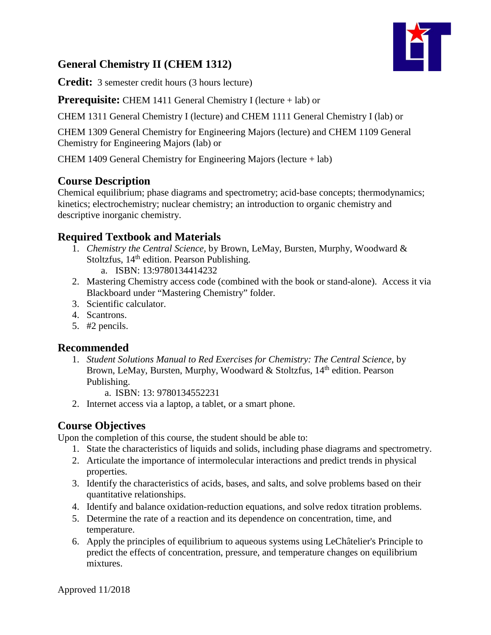# **General Chemistry II (CHEM 1312)**

**Credit:** 3 semester credit hours (3 hours lecture)

**Prerequisite:** CHEM 1411 General Chemistry I (lecture + lab) or

CHEM 1311 General Chemistry I (lecture) and CHEM 1111 General Chemistry I (lab) or

CHEM 1309 General Chemistry for Engineering Majors (lecture) and CHEM 1109 General Chemistry for Engineering Majors (lab) or

CHEM 1409 General Chemistry for Engineering Majors (lecture + lab)

## **Course Description**

Chemical equilibrium; phase diagrams and spectrometry; acid-base concepts; thermodynamics; kinetics; electrochemistry; nuclear chemistry; an introduction to organic chemistry and descriptive inorganic chemistry.

## **Required Textbook and Materials**

- 1. *Chemistry the Central Science,* by Brown, LeMay, Bursten, Murphy, Woodward & Stoltzfus,  $14<sup>th</sup>$  edition. Pearson Publishing.
	- a. ISBN: 13:9780134414232
- 2. Mastering Chemistry access code (combined with the book or stand-alone). Access it via Blackboard under "Mastering Chemistry" folder.
- 3. Scientific calculator.
- 4. Scantrons.
- 5. #2 pencils.

## **Recommended**

1. *Student Solutions Manual to Red Exercises for Chemistry: The Central Science,* by Brown, LeMay, Bursten, Murphy, Woodward & Stoltzfus, 14<sup>th</sup> edition. Pearson Publishing.

a. ISBN: 13: 9780134552231

2. Internet access via a laptop, a tablet, or a smart phone.

## **Course Objectives**

Upon the completion of this course, the student should be able to:

- 1. State the characteristics of liquids and solids, including phase diagrams and spectrometry.
- 2. Articulate the importance of intermolecular interactions and predict trends in physical properties.
- 3. Identify the characteristics of acids, bases, and salts, and solve problems based on their quantitative relationships.
- 4. Identify and balance oxidation-reduction equations, and solve redox titration problems.
- 5. Determine the rate of a reaction and its dependence on concentration, time, and temperature.
- 6. Apply the principles of equilibrium to aqueous systems using LeChâtelier's Principle to predict the effects of concentration, pressure, and temperature changes on equilibrium mixtures.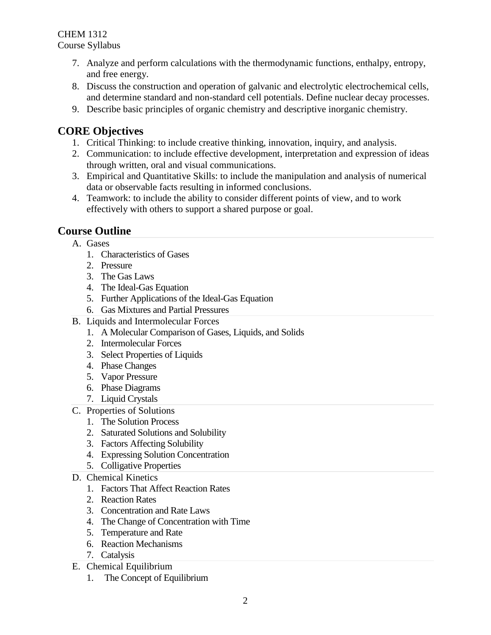- 7. Analyze and perform calculations with the thermodynamic functions, enthalpy, entropy, and free energy.
- 8. Discuss the construction and operation of galvanic and electrolytic electrochemical cells, and determine standard and non-standard cell potentials. Define nuclear decay processes.
- 9. Describe basic principles of organic chemistry and descriptive inorganic chemistry.

# **CORE Objectives**

- 1. Critical Thinking: to include creative thinking, innovation, inquiry, and analysis.
- 2. Communication: to include effective development, interpretation and expression of ideas through written, oral and visual communications.
- 3. Empirical and Quantitative Skills: to include the manipulation and analysis of numerical data or observable facts resulting in informed conclusions.
- 4. Teamwork: to include the ability to consider different points of view, and to work effectively with others to support a shared purpose or goal.

# **Course Outline**

- A. Gases
	- 1. Characteristics of Gases
	- 2. Pressure
	- 3. The Gas Laws
	- 4. The Ideal-Gas Equation
	- 5. Further Applications of the Ideal-Gas Equation
	- 6. Gas Mixtures and Partial Pressures
- B. Liquids and Intermolecular Forces
	- 1. A Molecular Comparison of Gases, Liquids, and Solids
	- 2. Intermolecular Forces
	- 3. Select Properties of Liquids
	- 4. Phase Changes
	- 5. Vapor Pressure
	- 6. Phase Diagrams
	- 7. Liquid Crystals
- C. Properties of Solutions
	- 1. The Solution Process
	- 2. Saturated Solutions and Solubility
	- 3. Factors Affecting Solubility
	- 4. Expressing Solution Concentration
	- 5. Colligative Properties
- D. Chemical Kinetics
	- 1. Factors That Affect Reaction Rates
	- 2. Reaction Rates
	- 3. Concentration and Rate Laws
	- 4. The Change of Concentration with Time
	- 5. Temperature and Rate
	- 6. Reaction Mechanisms
	- 7. Catalysis
- E. Chemical Equilibrium
	- 1. The Concept of Equilibrium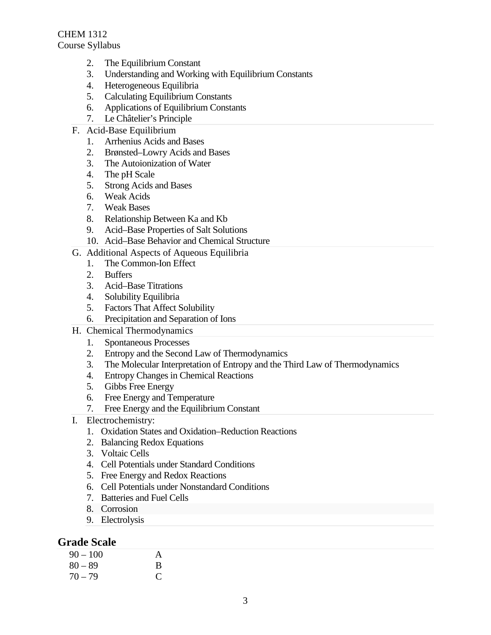- 2. The Equilibrium Constant
- 3. Understanding and Working with Equilibrium Constants
- 4. Heterogeneous Equilibria
- 5. Calculating Equilibrium Constants
- 6. Applications of Equilibrium Constants
- 7. Le Châtelier's Principle
- F. Acid-Base Equilibrium
	- 1. Arrhenius Acids and Bases
	- 2. Brønsted–Lowry Acids and Bases
	- 3. The Autoionization of Water
	- 4. The pH Scale
	- 5. Strong Acids and Bases
	- 6. Weak Acids
	- 7. Weak Bases
	- 8. Relationship Between Ka and Kb
	- 9. Acid–Base Properties of Salt Solutions
	- 10. Acid–Base Behavior and Chemical Structure
- G. Additional Aspects of Aqueous Equilibria
	- 1. The Common-Ion Effect
	- 2. Buffers
	- 3. Acid–Base Titrations
	- 4. Solubility Equilibria
	- 5. Factors That Affect Solubility
	- 6. Precipitation and Separation of Ions
- H. Chemical Thermodynamics
	- 1. Spontaneous Processes
	- 2. Entropy and the Second Law of Thermodynamics
	- 3. The Molecular Interpretation of Entropy and the Third Law of Thermodynamics
	- 4. Entropy Changes in Chemical Reactions
	- 5. Gibbs Free Energy
	- 6. Free Energy and Temperature
	- 7. Free Energy and the Equilibrium Constant
- I. Electrochemistry:
	- 1. Oxidation States and Oxidation–Reduction Reactions
	- 2. Balancing Redox Equations
	- 3. Voltaic Cells
	- 4. Cell Potentials under Standard Conditions
	- 5. Free Energy and Redox Reactions
	- 6. Cell Potentials under Nonstandard Conditions
	- 7. Batteries and Fuel Cells
	- 8. Corrosion
	- 9. Electrolysis

#### **Grade Scale**

| 90 – 100  | A |
|-----------|---|
| $80 - 89$ | B |
| 70 – 79   | € |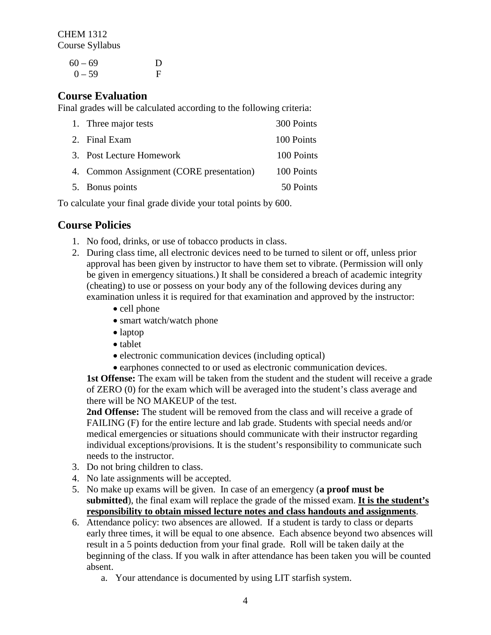> $60 - 69$  D  $0 - 59$  F

## **Course Evaluation**

Final grades will be calculated according to the following criteria:

| 1. Three major tests                     | 300 Points |
|------------------------------------------|------------|
| 2. Final Exam                            | 100 Points |
| 3. Post Lecture Homework                 | 100 Points |
| 4. Common Assignment (CORE presentation) | 100 Points |
| 5. Bonus points                          | 50 Points  |

To calculate your final grade divide your total points by 600.

## **Course Policies**

- 1. No food, drinks, or use of tobacco products in class.
- 2. During class time, all electronic devices need to be turned to silent or off, unless prior approval has been given by instructor to have them set to vibrate. (Permission will only be given in emergency situations.) It shall be considered a breach of academic integrity (cheating) to use or possess on your body any of the following devices during any examination unless it is required for that examination and approved by the instructor:
	- cell phone
	- smart watch/watch phone
	- laptop
	- tablet
	- electronic communication devices (including optical)
	- earphones connected to or used as electronic communication devices.

**1st Offense:** The exam will be taken from the student and the student will receive a grade of ZERO (0) for the exam which will be averaged into the student's class average and there will be NO MAKEUP of the test.

**2nd Offense:** The student will be removed from the class and will receive a grade of FAILING (F) for the entire lecture and lab grade. Students with special needs and/or medical emergencies or situations should communicate with their instructor regarding individual exceptions/provisions. It is the student's responsibility to communicate such needs to the instructor.

- 3. Do not bring children to class.
- 4. No late assignments will be accepted.
- 5. No make up exams will be given. In case of an emergency (**a proof must be submitted**), the final exam will replace the grade of the missed exam. **It is the student's responsibility to obtain missed lecture notes and class handouts and assignments**.
- 6. Attendance policy: two absences are allowed. If a student is tardy to class or departs early three times, it will be equal to one absence. Each absence beyond two absences will result in a 5 points deduction from your final grade. Roll will be taken daily at the beginning of the class. If you walk in after attendance has been taken you will be counted absent.
	- a. Your attendance is documented by using LIT starfish system.